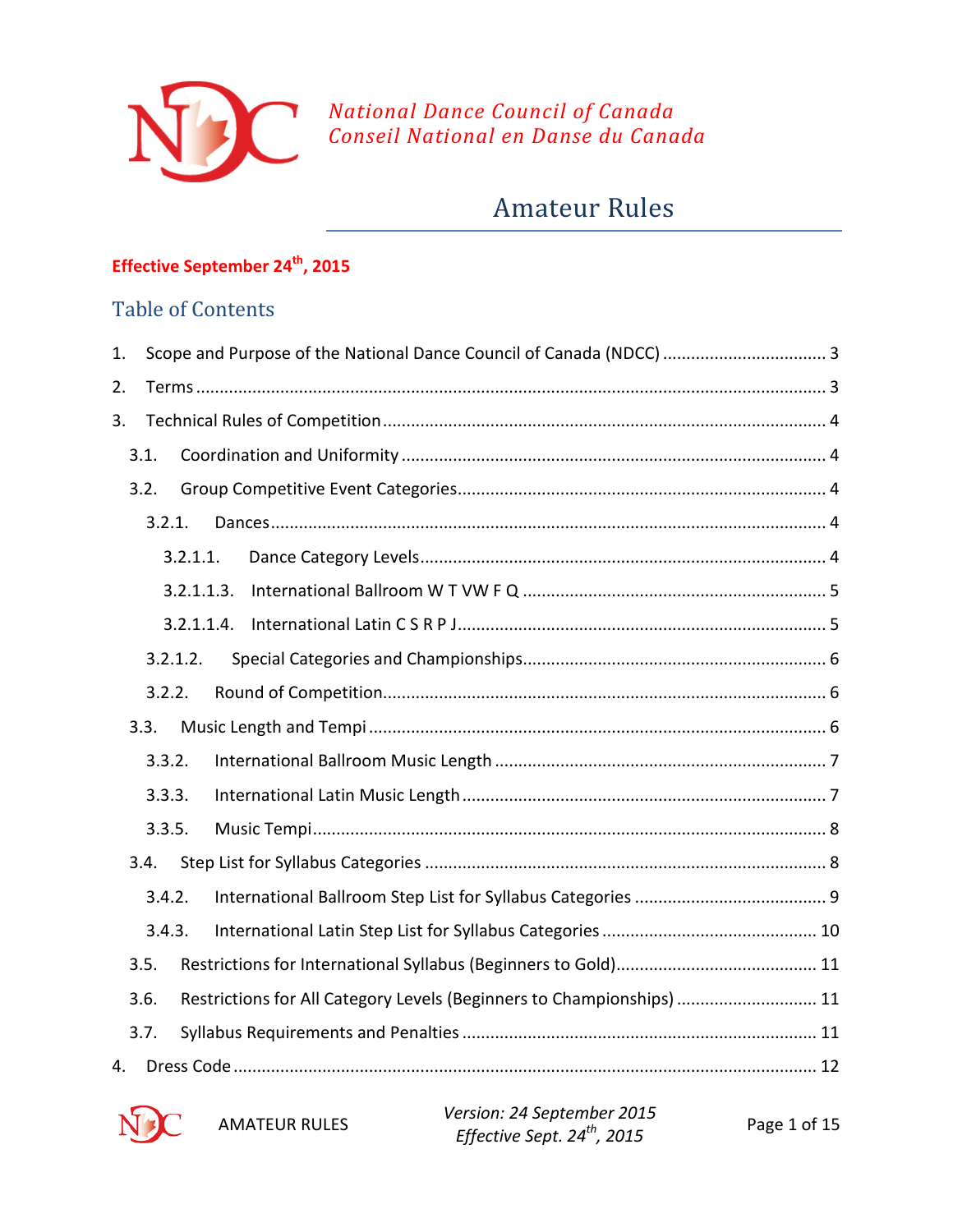

## *National Dance Council of Canada Conseil National en Danse du Canada*

# Amateur Rules

## **Effective September 24th, 2015**

## Table of Contents

| 1. |      |            |                                                                       |  |  |
|----|------|------------|-----------------------------------------------------------------------|--|--|
| 2. |      |            |                                                                       |  |  |
| 3. |      |            |                                                                       |  |  |
|    | 3.1. |            |                                                                       |  |  |
|    | 3.2. |            |                                                                       |  |  |
|    |      | 3.2.1.     |                                                                       |  |  |
|    |      | 3.2.1.1.   |                                                                       |  |  |
|    |      | 3.2.1.1.3. |                                                                       |  |  |
|    |      | 3.2.1.1.4. |                                                                       |  |  |
|    |      | 3.2.1.2.   |                                                                       |  |  |
|    |      | 3.2.2.     |                                                                       |  |  |
|    | 3.3. |            |                                                                       |  |  |
|    |      | 3.3.2.     |                                                                       |  |  |
|    |      | 3.3.3.     |                                                                       |  |  |
|    |      | 3.3.5.     |                                                                       |  |  |
|    | 3.4. |            |                                                                       |  |  |
|    |      | 3.4.2.     |                                                                       |  |  |
|    |      | 3.4.3.     |                                                                       |  |  |
|    | 3.5. |            |                                                                       |  |  |
|    | 3.6. |            | Restrictions for All Category Levels (Beginners to Championships)  11 |  |  |
|    | 3.7. |            |                                                                       |  |  |
| 4. |      |            |                                                                       |  |  |



AMATEUR RULES *Version: 24 September 2015 Effective Sept. 24th, 2015* Page 1 of 15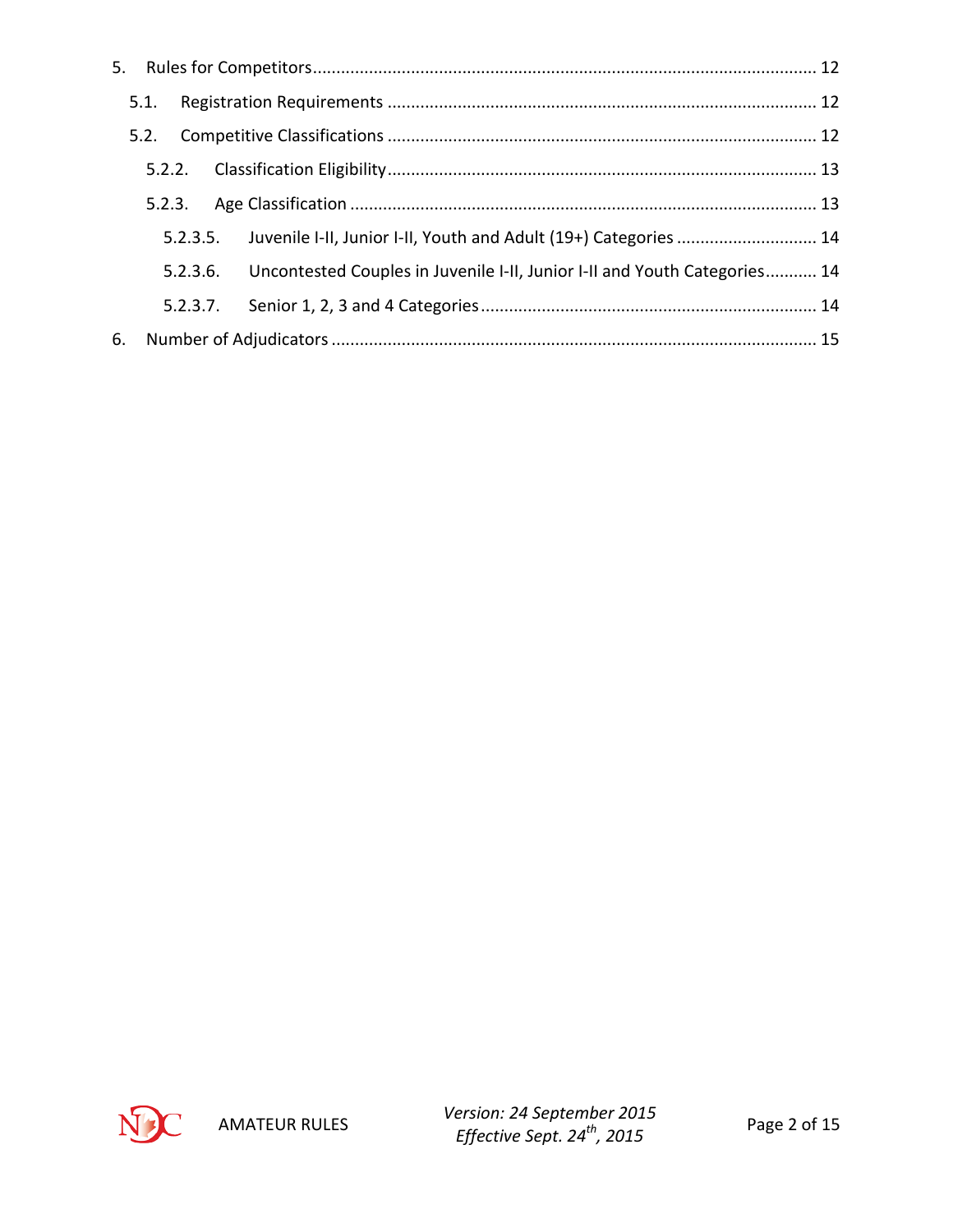|    | 5.1. |          |                                                                                    |  |
|----|------|----------|------------------------------------------------------------------------------------|--|
|    | 5.2. |          |                                                                                    |  |
|    |      |          |                                                                                    |  |
|    |      |          |                                                                                    |  |
|    |      |          | 5.2.3.5. Juvenile I-II, Junior I-II, Youth and Adult (19+) Categories  14          |  |
|    |      |          | 5.2.3.6. Uncontested Couples in Juvenile I-II, Junior I-II and Youth Categories 14 |  |
|    |      | 5.2.3.7. |                                                                                    |  |
| 6. |      |          |                                                                                    |  |

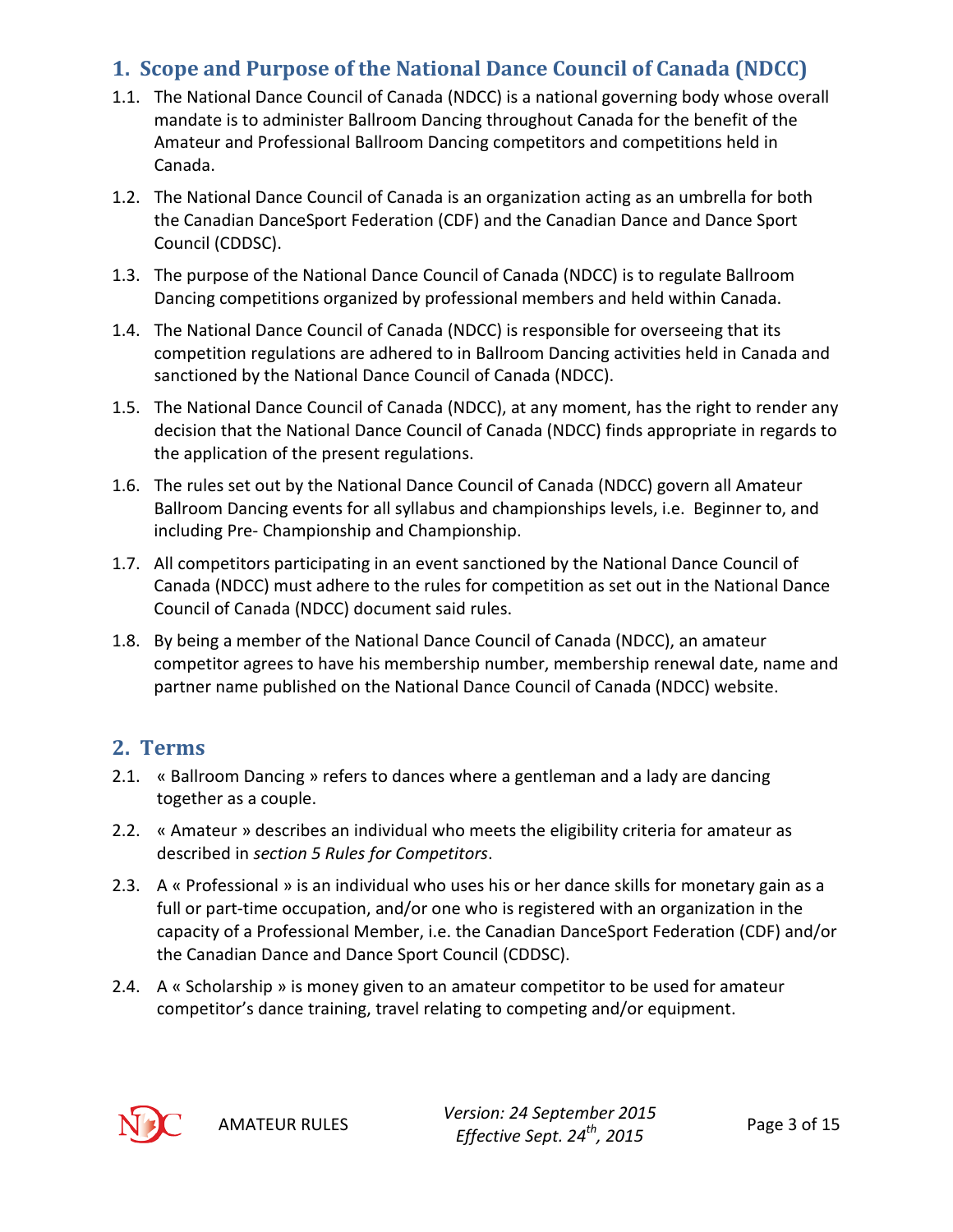## <span id="page-2-0"></span>**1. Scope and Purpose of the National Dance Council of Canada (NDCC)**

- 1.1. The National Dance Council of Canada (NDCC) is a national governing body whose overall mandate is to administer Ballroom Dancing throughout Canada for the benefit of the Amateur and Professional Ballroom Dancing competitors and competitions held in Canada.
- 1.2. The National Dance Council of Canada is an organization acting as an umbrella for both the Canadian DanceSport Federation (CDF) and the Canadian Dance and Dance Sport Council (CDDSC).
- 1.3. The purpose of the National Dance Council of Canada (NDCC) is to regulate Ballroom Dancing competitions organized by professional members and held within Canada.
- 1.4. The National Dance Council of Canada (NDCC) is responsible for overseeing that its competition regulations are adhered to in Ballroom Dancing activities held in Canada and sanctioned by the National Dance Council of Canada (NDCC).
- 1.5. The National Dance Council of Canada (NDCC), at any moment, has the right to render any decision that the National Dance Council of Canada (NDCC) finds appropriate in regards to the application of the present regulations.
- 1.6. The rules set out by the National Dance Council of Canada (NDCC) govern all Amateur Ballroom Dancing events for all syllabus and championships levels, i.e. Beginner to, and including Pre- Championship and Championship.
- 1.7. All competitors participating in an event sanctioned by the National Dance Council of Canada (NDCC) must adhere to the rules for competition as set out in the National Dance Council of Canada (NDCC) document said rules.
- 1.8. By being a member of the National Dance Council of Canada (NDCC), an amateur competitor agrees to have his membership number, membership renewal date, name and partner name published on the National Dance Council of Canada (NDCC) website.

## <span id="page-2-1"></span>**2. Terms**

- 2.1. « Ballroom Dancing » refers to dances where a gentleman and a lady are dancing together as a couple.
- 2.2. « Amateur » describes an individual who meets the eligibility criteria for amateur as described in *section [5](#page-11-1) [Rules for Competitors](#page-11-1)*.
- 2.3. A « Professional » is an individual who uses his or her dance skills for monetary gain as a full or part-time occupation, and/or one who is registered with an organization in the capacity of a Professional Member, i.e. the Canadian DanceSport Federation (CDF) and/or the Canadian Dance and Dance Sport Council (CDDSC).
- 2.4. A « Scholarship » is money given to an amateur competitor to be used for amateur competitor's dance training, travel relating to competing and/or equipment.



AMATEUR RULES *Version: 24 September 2015 Effective Sept. 24th, 2015* Page 3 of 15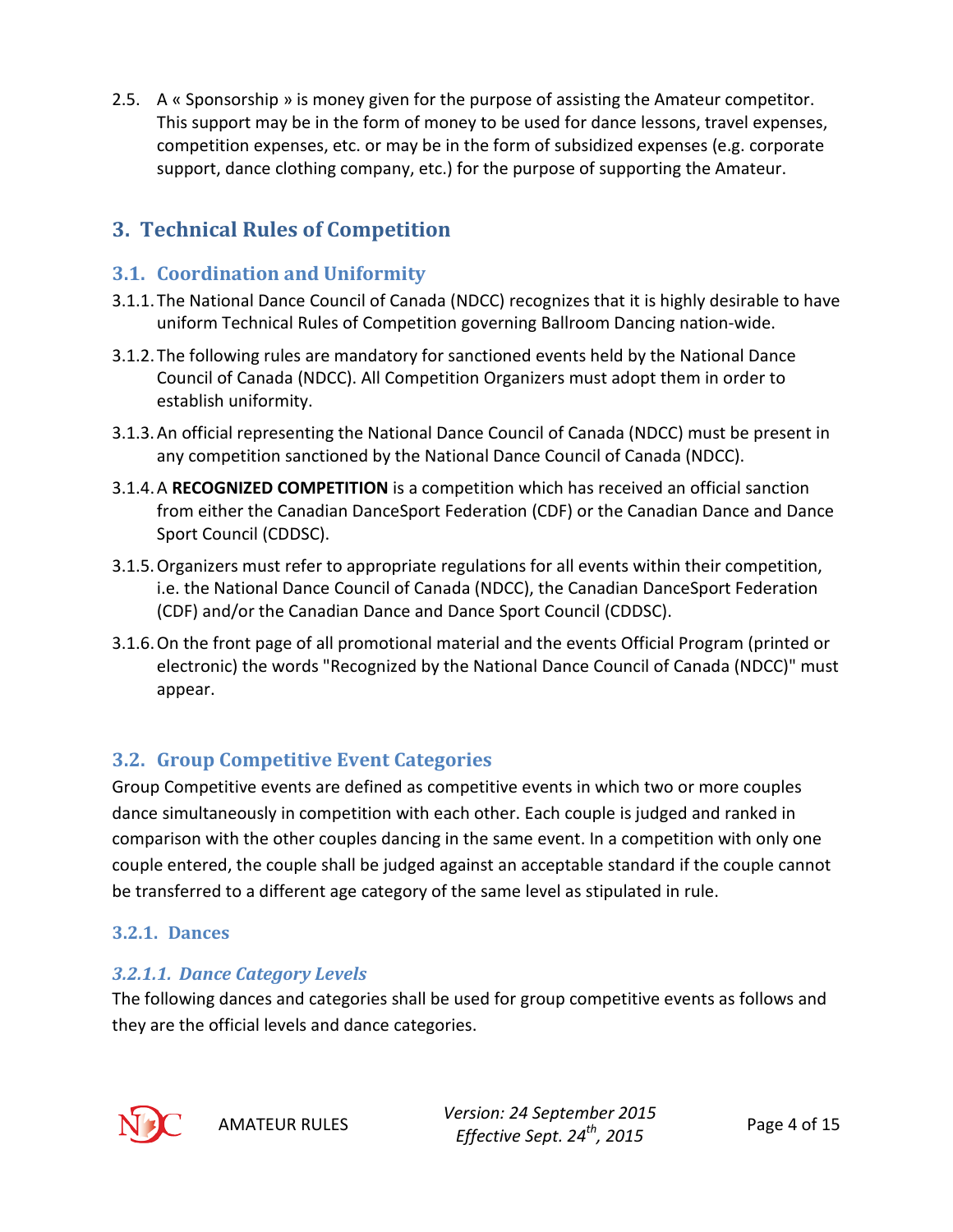2.5. A « Sponsorship » is money given for the purpose of assisting the Amateur competitor. This support may be in the form of money to be used for dance lessons, travel expenses, competition expenses, etc. or may be in the form of subsidized expenses (e.g. corporate support, dance clothing company, etc.) for the purpose of supporting the Amateur.

## <span id="page-3-0"></span>**3. Technical Rules of Competition**

## <span id="page-3-1"></span>**3.1. Coordination and Uniformity**

- 3.1.1.The National Dance Council of Canada (NDCC) recognizes that it is highly desirable to have uniform Technical Rules of Competition governing Ballroom Dancing nation-wide.
- 3.1.2.The following rules are mandatory for sanctioned events held by the National Dance Council of Canada (NDCC). All Competition Organizers must adopt them in order to establish uniformity.
- 3.1.3.An official representing the National Dance Council of Canada (NDCC) must be present in any competition sanctioned by the National Dance Council of Canada (NDCC).
- 3.1.4.A **RECOGNIZED COMPETITION** is a competition which has received an official sanction from either the Canadian DanceSport Federation (CDF) or the Canadian Dance and Dance Sport Council (CDDSC).
- 3.1.5.Organizers must refer to appropriate regulations for all events within their competition, i.e. the National Dance Council of Canada (NDCC), the Canadian DanceSport Federation (CDF) and/or the Canadian Dance and Dance Sport Council (CDDSC).
- 3.1.6.On the front page of all promotional material and the events Official Program (printed or electronic) the words "Recognized by the National Dance Council of Canada (NDCC)" must appear.

## <span id="page-3-2"></span>**3.2. Group Competitive Event Categories**

Group Competitive events are defined as competitive events in which two or more couples dance simultaneously in competition with each other. Each couple is judged and ranked in comparison with the other couples dancing in the same event. In a competition with only one couple entered, the couple shall be judged against an acceptable standard if the couple cannot be transferred to a different age category of the same level as stipulated in rule.

## <span id="page-3-3"></span>**3.2.1. Dances**

## <span id="page-3-4"></span>*3.2.1.1. Dance Category Levels*

The following dances and categories shall be used for group competitive events as follows and they are the official levels and dance categories.



AMATEUR RULES *Version: 24 September 2015 Effective Sept. 24th, 2015* Page 4 of 15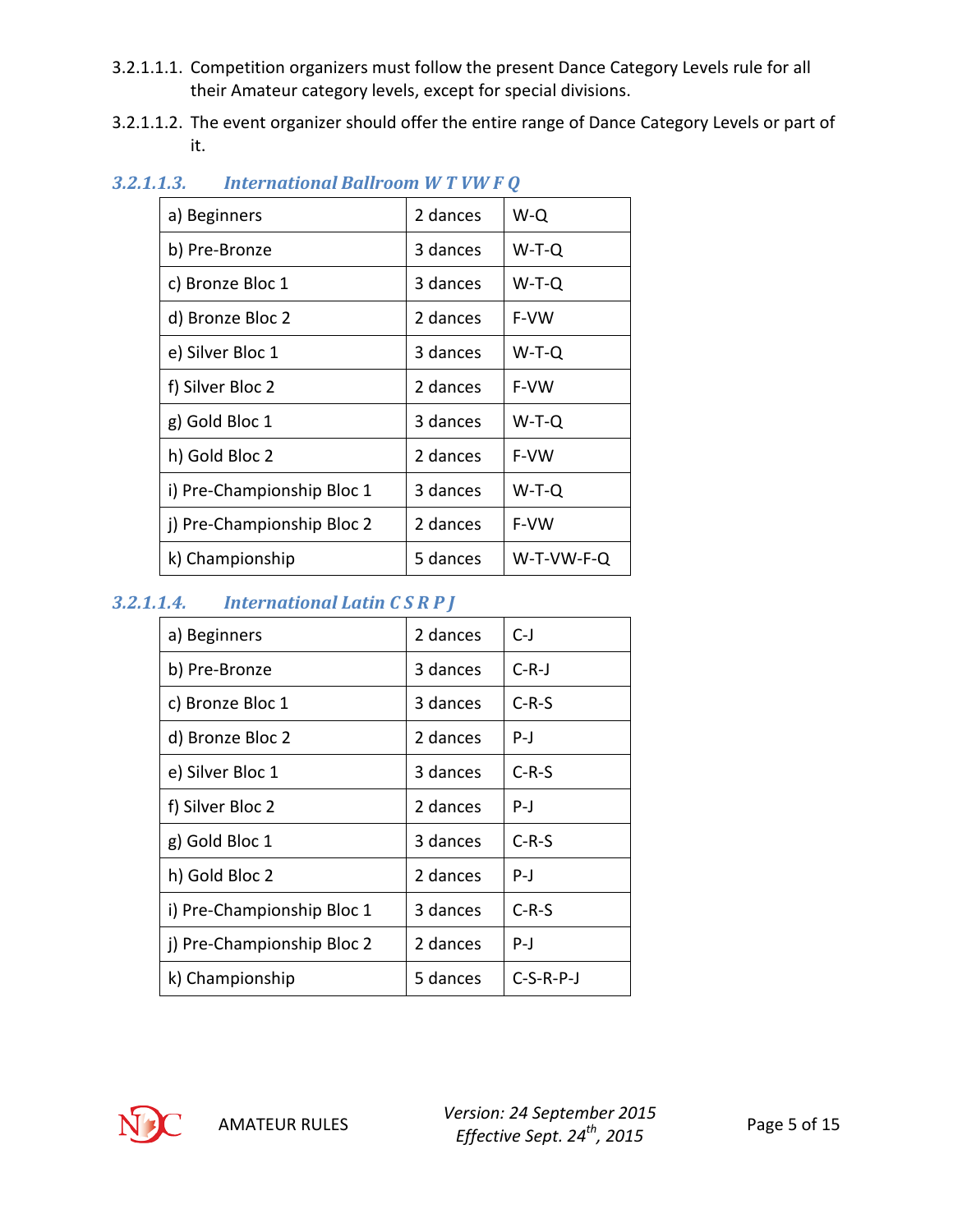- 3.2.1.1.1. Competition organizers must follow the present Dance Category Levels rule for all their Amateur category levels, except for special divisions.
- 3.2.1.1.2. The event organizer should offer the entire range of Dance Category Levels or part of it.

| a) Beginners               | 2 dances | W-Q        |
|----------------------------|----------|------------|
| b) Pre-Bronze              | 3 dances | W-T-Q      |
| c) Bronze Bloc 1           | 3 dances | W-T-Q      |
| d) Bronze Bloc 2           | 2 dances | F-VW       |
| e) Silver Bloc 1           | 3 dances | W-T-Q      |
| f) Silver Bloc 2           | 2 dances | F-VW       |
| g) Gold Bloc 1             | 3 dances | W-T-Q      |
| h) Gold Bloc 2             | 2 dances | F-VW       |
| i) Pre-Championship Bloc 1 | 3 dances | W-T-Q      |
| j) Pre-Championship Bloc 2 | 2 dances | F-VW       |
| k) Championship            | 5 dances | W-T-VW-F-Q |

## <span id="page-4-0"></span>*3.2.1.1.3. International Ballroom W T VW F Q*

## <span id="page-4-1"></span>*3.2.1.1.4. International Latin C S R P J*

| 2 dances |             |
|----------|-------------|
|          | $C-J$       |
| 3 dances | $C-R-J$     |
| 3 dances | $C-R-S$     |
| 2 dances | P-J         |
| 3 dances | $C-R-S$     |
| 2 dances | $P-J$       |
| 3 dances | $C-R-S$     |
| 2 dances | $P -$       |
| 3 dances | $C-R-S$     |
| 2 dances | P-J         |
| 5 dances | $C-S-R-P-J$ |
|          |             |

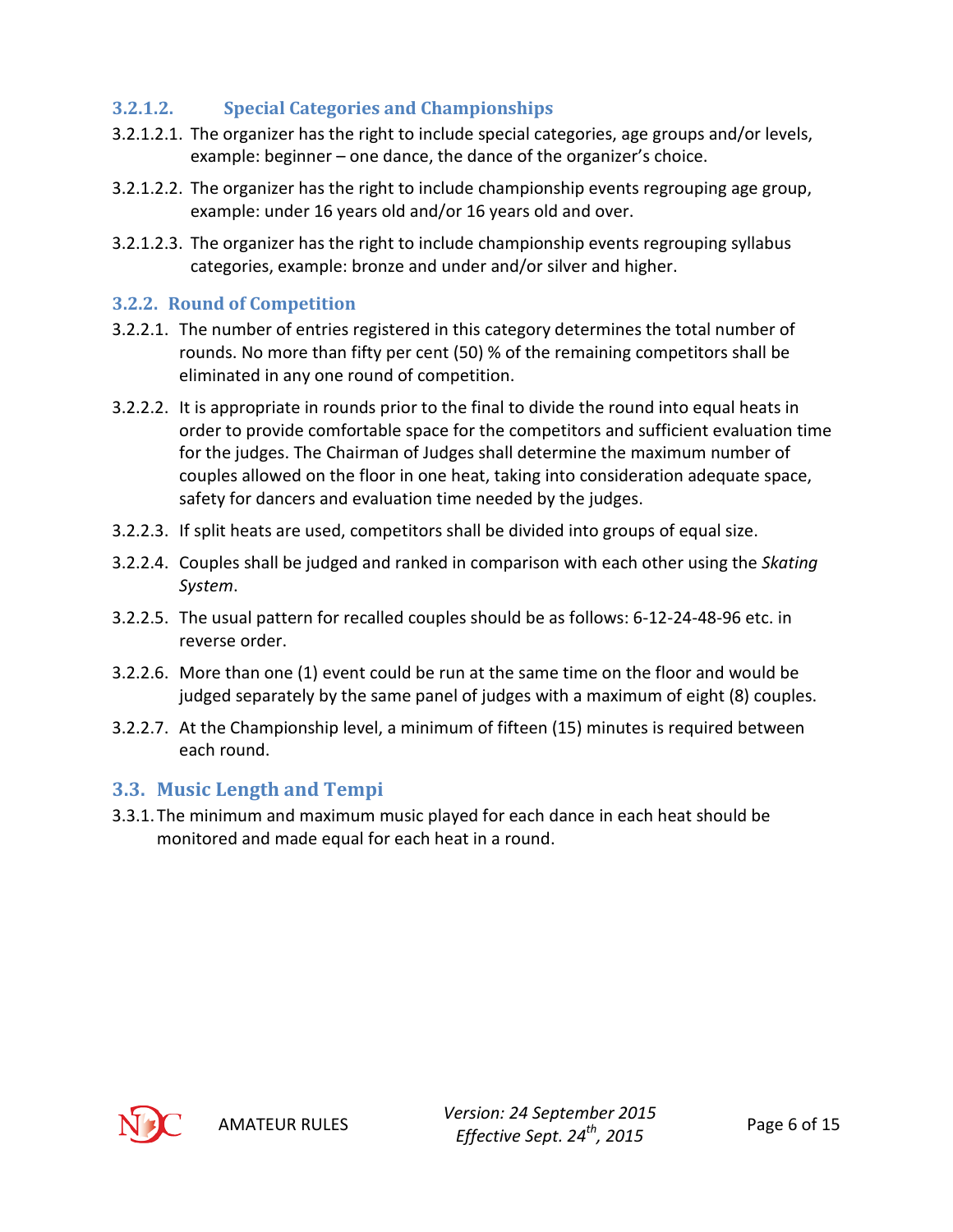## <span id="page-5-0"></span>**3.2.1.2. Special Categories and Championships**

- 3.2.1.2.1. The organizer has the right to include special categories, age groups and/or levels, example: beginner – one dance, the dance of the organizer's choice.
- 3.2.1.2.2. The organizer has the right to include championship events regrouping age group, example: under 16 years old and/or 16 years old and over.
- 3.2.1.2.3. The organizer has the right to include championship events regrouping syllabus categories, example: bronze and under and/or silver and higher.

#### <span id="page-5-1"></span>**3.2.2. Round of Competition**

- 3.2.2.1. The number of entries registered in this category determines the total number of rounds. No more than fifty per cent (50) % of the remaining competitors shall be eliminated in any one round of competition.
- 3.2.2.2. It is appropriate in rounds prior to the final to divide the round into equal heats in order to provide comfortable space for the competitors and sufficient evaluation time for the judges. The Chairman of Judges shall determine the maximum number of couples allowed on the floor in one heat, taking into consideration adequate space, safety for dancers and evaluation time needed by the judges.
- 3.2.2.3. If split heats are used, competitors shall be divided into groups of equal size.
- 3.2.2.4. Couples shall be judged and ranked in comparison with each other using the *Skating System*.
- 3.2.2.5. The usual pattern for recalled couples should be as follows: 6-12-24-48-96 etc. in reverse order.
- 3.2.2.6. More than one (1) event could be run at the same time on the floor and would be judged separately by the same panel of judges with a maximum of eight (8) couples.
- 3.2.2.7. At the Championship level, a minimum of fifteen (15) minutes is required between each round.

## <span id="page-5-2"></span>**3.3. Music Length and Tempi**

3.3.1.The minimum and maximum music played for each dance in each heat should be monitored and made equal for each heat in a round.

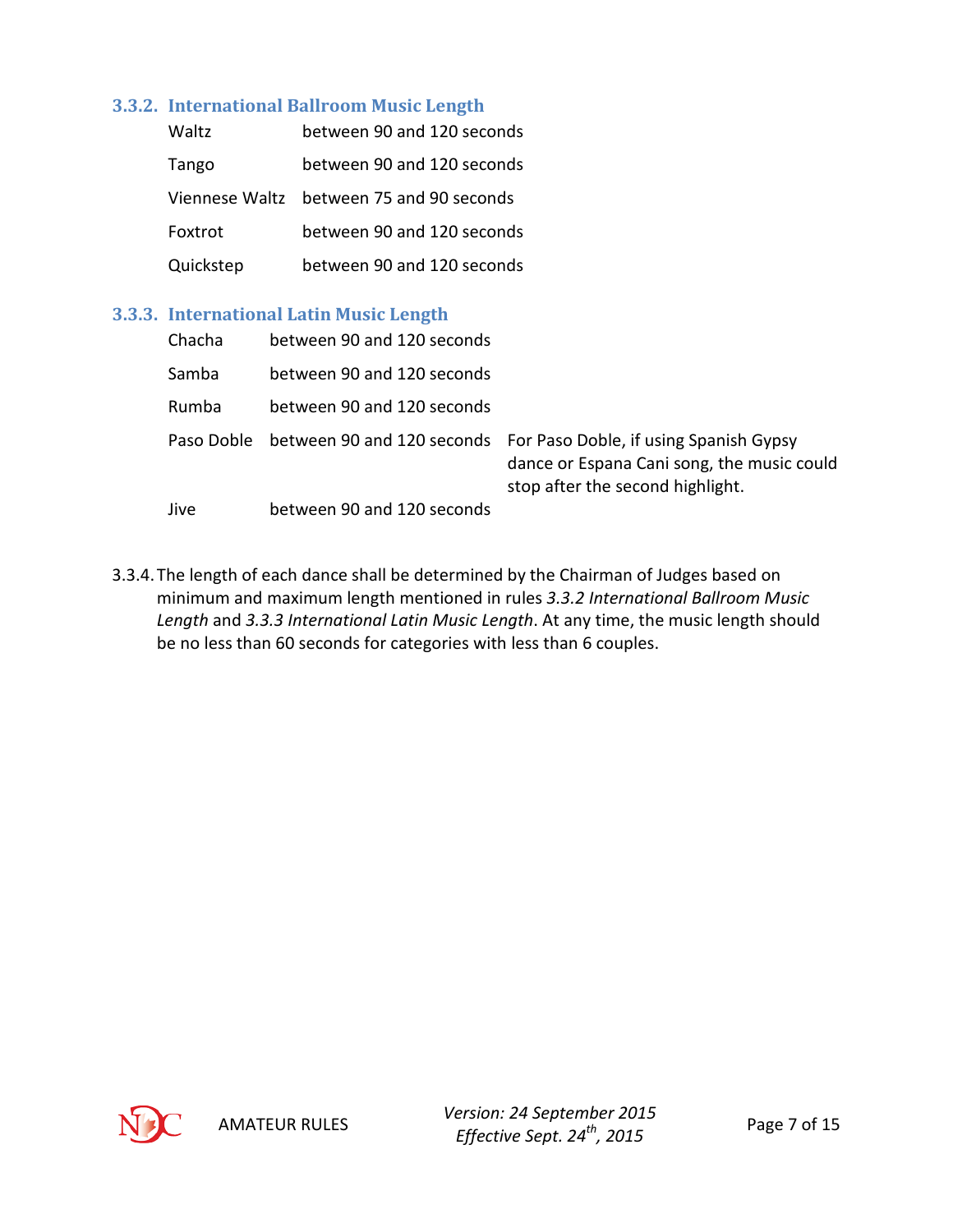#### <span id="page-6-0"></span>**3.3.2. International Ballroom Music Length**

| Waltz     | between 90 and 120 seconds               |
|-----------|------------------------------------------|
| Tango     | between 90 and 120 seconds               |
|           | Viennese Waltz between 75 and 90 seconds |
| Foxtrot   | between 90 and 120 seconds               |
| Quickstep | between 90 and 120 seconds               |

#### <span id="page-6-1"></span>**3.3.3. International Latin Music Length**

| Chacha     | between 90 and 120 seconds |                                                                                                                                                     |
|------------|----------------------------|-----------------------------------------------------------------------------------------------------------------------------------------------------|
| Samba      | between 90 and 120 seconds |                                                                                                                                                     |
| Rumba      | between 90 and 120 seconds |                                                                                                                                                     |
| Paso Doble |                            | between 90 and 120 seconds For Paso Doble, if using Spanish Gypsy<br>dance or Espana Cani song, the music could<br>stop after the second highlight. |
| Jive       | between 90 and 120 seconds |                                                                                                                                                     |

3.3.4.The length of each dance shall be determined by the Chairman of Judges based on minimum and maximum length mentioned in rules *[3.3.2](#page-6-0) [International Ballroom Music](#page-6-0)  [Length](#page-6-0)* and *[3.3.3](#page-6-1) [International Latin Music Length](#page-6-1)*. At any time, the music length should be no less than 60 seconds for categories with less than 6 couples.

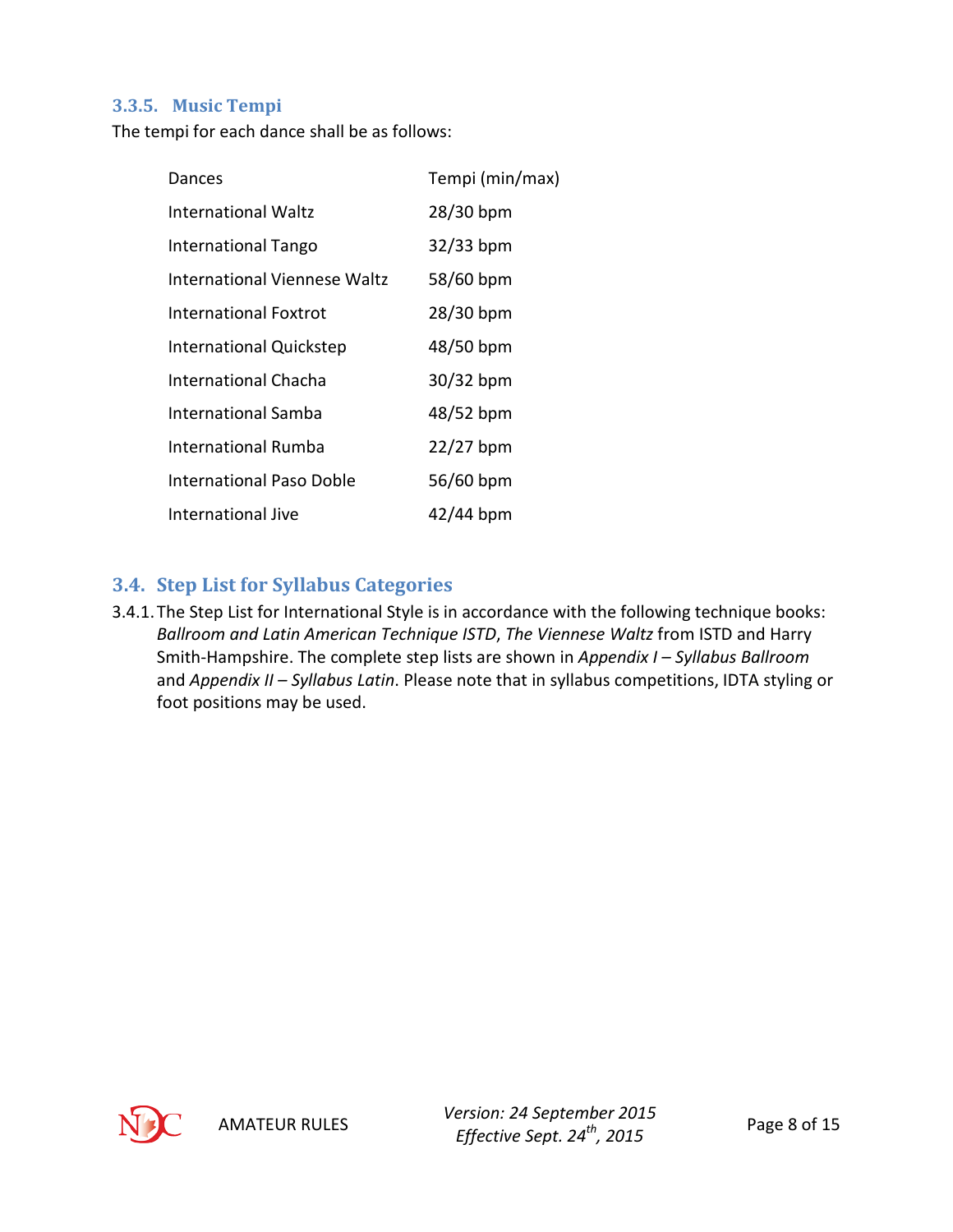#### <span id="page-7-0"></span>**3.3.5. Music Tempi**

The tempi for each dance shall be as follows:

| Dances                         | Tempi (min/max) |
|--------------------------------|-----------------|
| International Waltz            | 28/30 bpm       |
| <b>International Tango</b>     | $32/33$ bpm     |
| International Viennese Waltz   | 58/60 bpm       |
| International Foxtrot          | 28/30 bpm       |
| <b>International Quickstep</b> | 48/50 bpm       |
| International Chacha           | $30/32$ bpm     |
| International Samba            | 48/52 bpm       |
| <b>International Rumba</b>     | $22/27$ bpm     |
| International Paso Doble       | 56/60 bpm       |
| International Jive             | $42/44$ bpm     |

#### <span id="page-7-1"></span>**3.4. Step List for Syllabus Categories**

3.4.1.The Step List for International Style is in accordance with the following technique books: *Ballroom and Latin American Technique ISTD*, *The Viennese Waltz* from ISTD and Harry Smith-Hampshire. The complete step lists are shown in *Appendix I – Syllabus Ballroom* and *Appendix II – Syllabus Latin*. Please note that in syllabus competitions, IDTA styling or foot positions may be used.

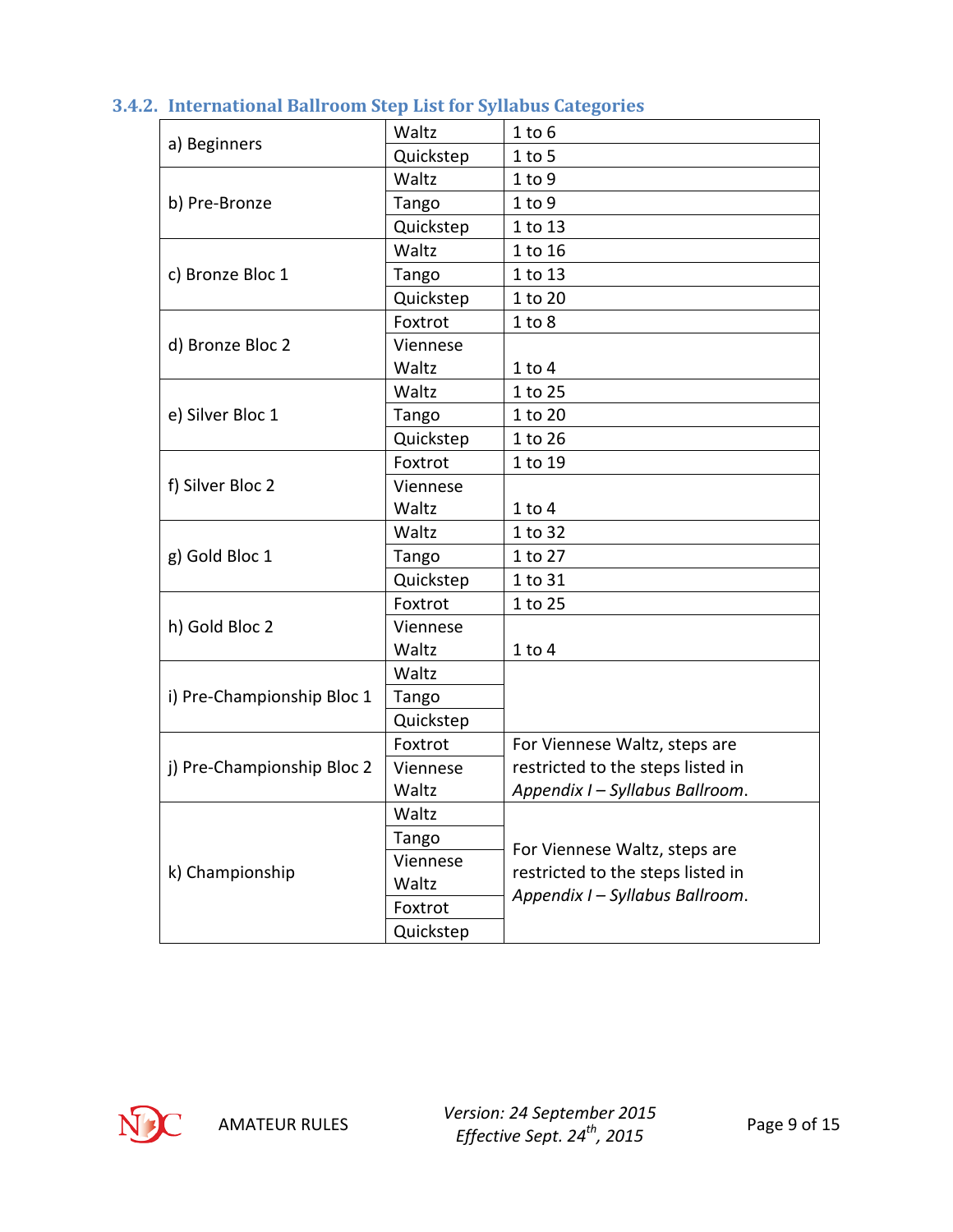| a) Beginners<br>b) Pre-Bronze<br>c) Bronze Bloc 1<br>d) Bronze Bloc 2<br>e) Silver Bloc 1<br>f) Silver Bloc 2<br>g) Gold Bloc 1 | Waltz     | $1$ to $6$                                                                                            |  |
|---------------------------------------------------------------------------------------------------------------------------------|-----------|-------------------------------------------------------------------------------------------------------|--|
|                                                                                                                                 | Quickstep | $1$ to 5                                                                                              |  |
|                                                                                                                                 | Waltz     | 1 to 9                                                                                                |  |
|                                                                                                                                 | Tango     | 1 to 9                                                                                                |  |
|                                                                                                                                 | Quickstep | 1 to 13                                                                                               |  |
|                                                                                                                                 | Waltz     | 1 to 16                                                                                               |  |
| h) Gold Bloc 2<br>i) Pre-Championship Bloc 1<br>j) Pre-Championship Bloc 2                                                      | Tango     | 1 to 13                                                                                               |  |
|                                                                                                                                 | Quickstep | 1 to 20                                                                                               |  |
|                                                                                                                                 | Foxtrot   | 1 to 8                                                                                                |  |
|                                                                                                                                 | Viennese  |                                                                                                       |  |
|                                                                                                                                 | Waltz     | $1$ to $4$                                                                                            |  |
|                                                                                                                                 | Waltz     | 1 to 25                                                                                               |  |
|                                                                                                                                 | Tango     | 1 to 20                                                                                               |  |
| k) Championship                                                                                                                 | Quickstep | 1 to 26                                                                                               |  |
|                                                                                                                                 | Foxtrot   | 1 to 19                                                                                               |  |
|                                                                                                                                 | Viennese  |                                                                                                       |  |
|                                                                                                                                 | Waltz     | $1$ to $4$                                                                                            |  |
|                                                                                                                                 | Waltz     | 1 to 32                                                                                               |  |
|                                                                                                                                 | Tango     | 1 to 27                                                                                               |  |
|                                                                                                                                 | Quickstep | 1 to 31                                                                                               |  |
|                                                                                                                                 | Foxtrot   | 1 to 25                                                                                               |  |
|                                                                                                                                 | Viennese  |                                                                                                       |  |
|                                                                                                                                 | Waltz     | $1$ to $4$                                                                                            |  |
|                                                                                                                                 | Waltz     |                                                                                                       |  |
|                                                                                                                                 | Tango     |                                                                                                       |  |
|                                                                                                                                 | Quickstep |                                                                                                       |  |
|                                                                                                                                 | Foxtrot   | For Viennese Waltz, steps are                                                                         |  |
|                                                                                                                                 | Viennese  | restricted to the steps listed in                                                                     |  |
|                                                                                                                                 | Waltz     | Appendix I - Syllabus Ballroom.                                                                       |  |
|                                                                                                                                 | Waltz     |                                                                                                       |  |
|                                                                                                                                 | Tango     | For Viennese Waltz, steps are<br>restricted to the steps listed in<br>Appendix I - Syllabus Ballroom. |  |
|                                                                                                                                 | Viennese  |                                                                                                       |  |
|                                                                                                                                 | Waltz     |                                                                                                       |  |
|                                                                                                                                 | Foxtrot   |                                                                                                       |  |
|                                                                                                                                 | Quickstep |                                                                                                       |  |

## <span id="page-8-0"></span>**3.4.2. International Ballroom Step List for Syllabus Categories**

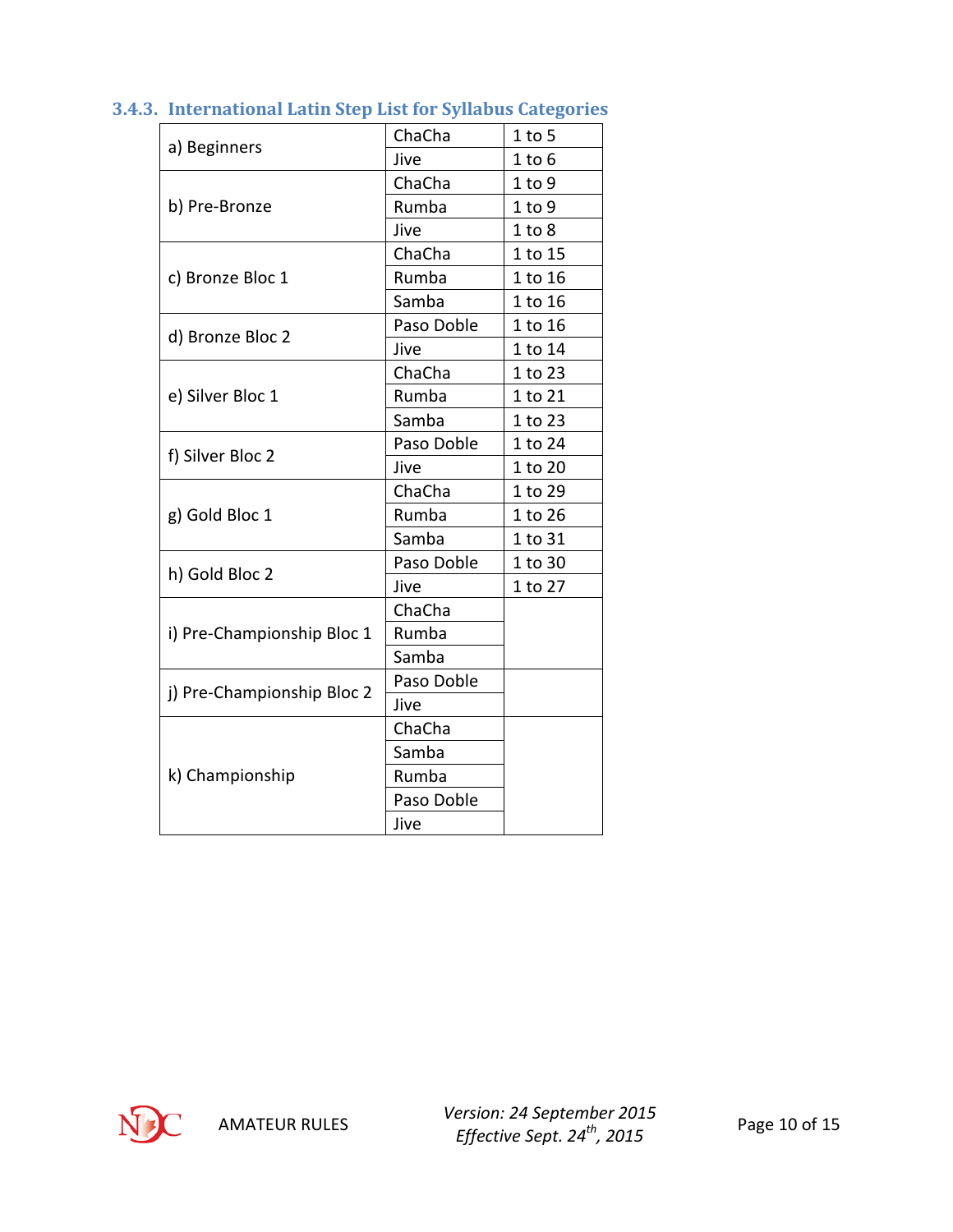|                                                                                                                 | ChaCha     | $1$ to 5   |
|-----------------------------------------------------------------------------------------------------------------|------------|------------|
|                                                                                                                 | Jive       | $1$ to $6$ |
|                                                                                                                 | ChaCha     | $1$ to $9$ |
| b) Pre-Bronze<br>c) Bronze Bloc 1<br>d) Bronze Bloc 2<br>e) Silver Bloc 1<br>f) Silver Bloc 2<br>g) Gold Bloc 1 | Rumba      | $1$ to $9$ |
|                                                                                                                 | Jive       | 1 to 8     |
|                                                                                                                 | ChaCha     | 1 to 15    |
|                                                                                                                 | Rumba      | 1 to 16    |
|                                                                                                                 | Samba      | 1 to 16    |
|                                                                                                                 | Paso Doble | 1 to 16    |
|                                                                                                                 | Jive       | 1 to 14    |
|                                                                                                                 | ChaCha     | 1 to 23    |
|                                                                                                                 | Rumba      | 1 to 21    |
| a) Beginners<br>h) Gold Bloc 2<br>i) Pre-Championship Bloc 1<br>j) Pre-Championship Bloc 2<br>k) Championship   | Samba      | 1 to 23    |
|                                                                                                                 | Paso Doble | 1 to 24    |
|                                                                                                                 | Jive       | 1 to 20    |
|                                                                                                                 | ChaCha     | 1 to 29    |
|                                                                                                                 | Rumba      | 1 to 26    |
|                                                                                                                 | Samba      | 1 to 31    |
|                                                                                                                 | Paso Doble | 1 to 30    |
|                                                                                                                 | Jive       | 1 to 27    |
|                                                                                                                 | ChaCha     |            |
|                                                                                                                 | Rumba      |            |
|                                                                                                                 | Samba      |            |
|                                                                                                                 | Paso Doble |            |
|                                                                                                                 | Jive       |            |
|                                                                                                                 | ChaCha     |            |
|                                                                                                                 | Samba      |            |
|                                                                                                                 | Rumba      |            |
|                                                                                                                 | Paso Doble |            |
|                                                                                                                 | Jive       |            |

<span id="page-9-0"></span>**3.4.3. International Latin Step List for Syllabus Categories**

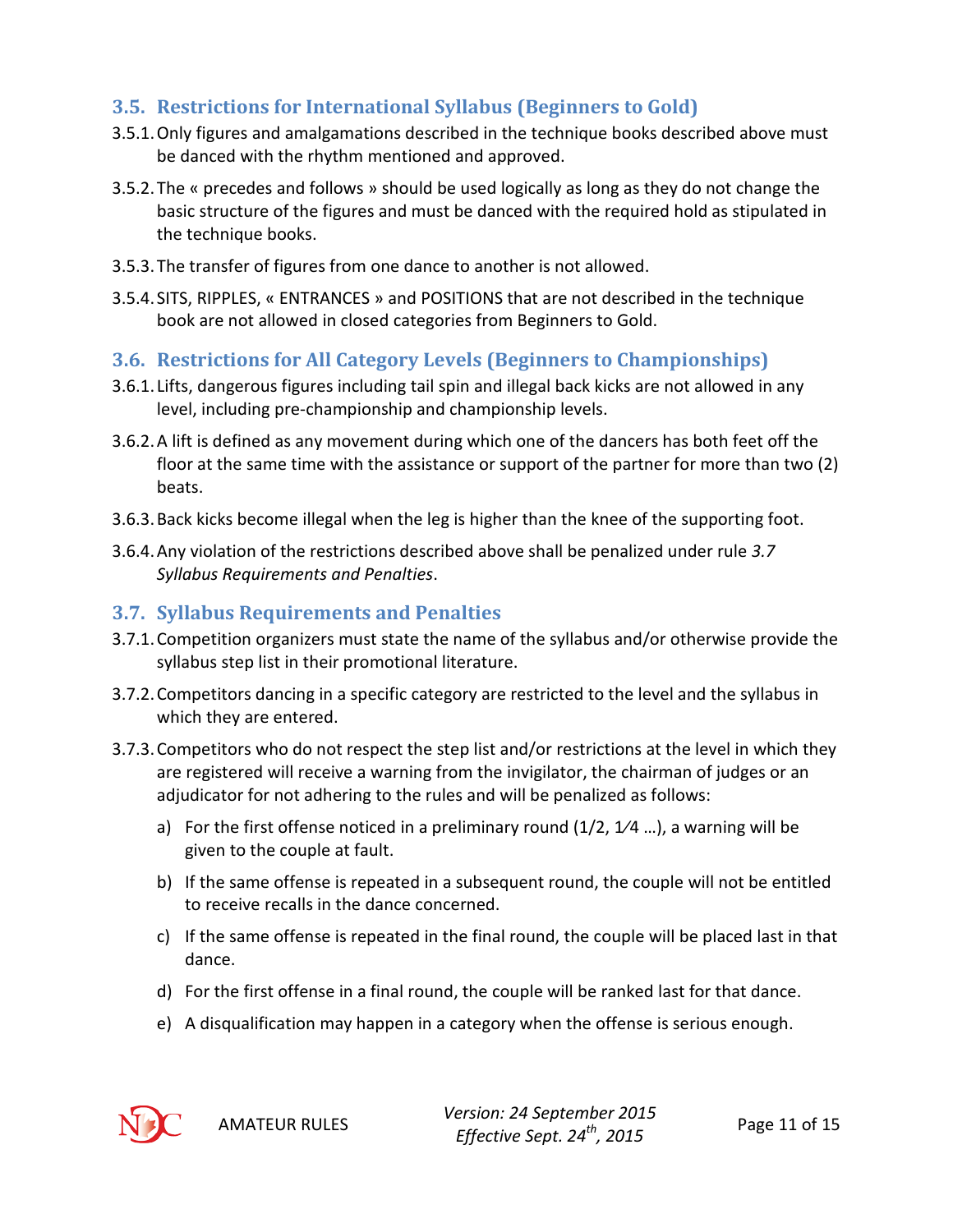## <span id="page-10-0"></span>**3.5. Restrictions for International Syllabus (Beginners to Gold)**

- 3.5.1.Only figures and amalgamations described in the technique books described above must be danced with the rhythm mentioned and approved.
- 3.5.2.The « precedes and follows » should be used logically as long as they do not change the basic structure of the figures and must be danced with the required hold as stipulated in the technique books.
- 3.5.3.The transfer of figures from one dance to another is not allowed.
- 3.5.4. SITS, RIPPLES, « ENTRANCES » and POSITIONS that are not described in the technique book are not allowed in closed categories from Beginners to Gold.

## <span id="page-10-1"></span>**3.6. Restrictions for All Category Levels (Beginners to Championships)**

- 3.6.1. Lifts, dangerous figures including tail spin and illegal back kicks are not allowed in any level, including pre-championship and championship levels.
- 3.6.2.A lift is defined as any movement during which one of the dancers has both feet off the floor at the same time with the assistance or support of the partner for more than two (2) beats.
- 3.6.3.Back kicks become illegal when the leg is higher than the knee of the supporting foot.
- 3.6.4.Any violation of the restrictions described above shall be penalized under rule *[3.7](#page-10-2) [Syllabus Requirements and Penalties](#page-10-2)*.

## <span id="page-10-2"></span>**3.7. Syllabus Requirements and Penalties**

- 3.7.1.Competition organizers must state the name of the syllabus and/or otherwise provide the syllabus step list in their promotional literature.
- 3.7.2.Competitors dancing in a specific category are restricted to the level and the syllabus in which they are entered.
- 3.7.3.Competitors who do not respect the step list and/or restrictions at the level in which they are registered will receive a warning from the invigilator, the chairman of judges or an adjudicator for not adhering to the rules and will be penalized as follows:
	- a) For the first offense noticed in a preliminary round  $(1/2, 1/4, \ldots)$ , a warning will be given to the couple at fault.
	- b) If the same offense is repeated in a subsequent round, the couple will not be entitled to receive recalls in the dance concerned.
	- c) If the same offense is repeated in the final round, the couple will be placed last in that dance.
	- d) For the first offense in a final round, the couple will be ranked last for that dance.
	- e) A disqualification may happen in a category when the offense is serious enough.



AMATEUR RULES *Version: 24 September 2015 Effective Sept. 24th, 2015* Page 11 of 15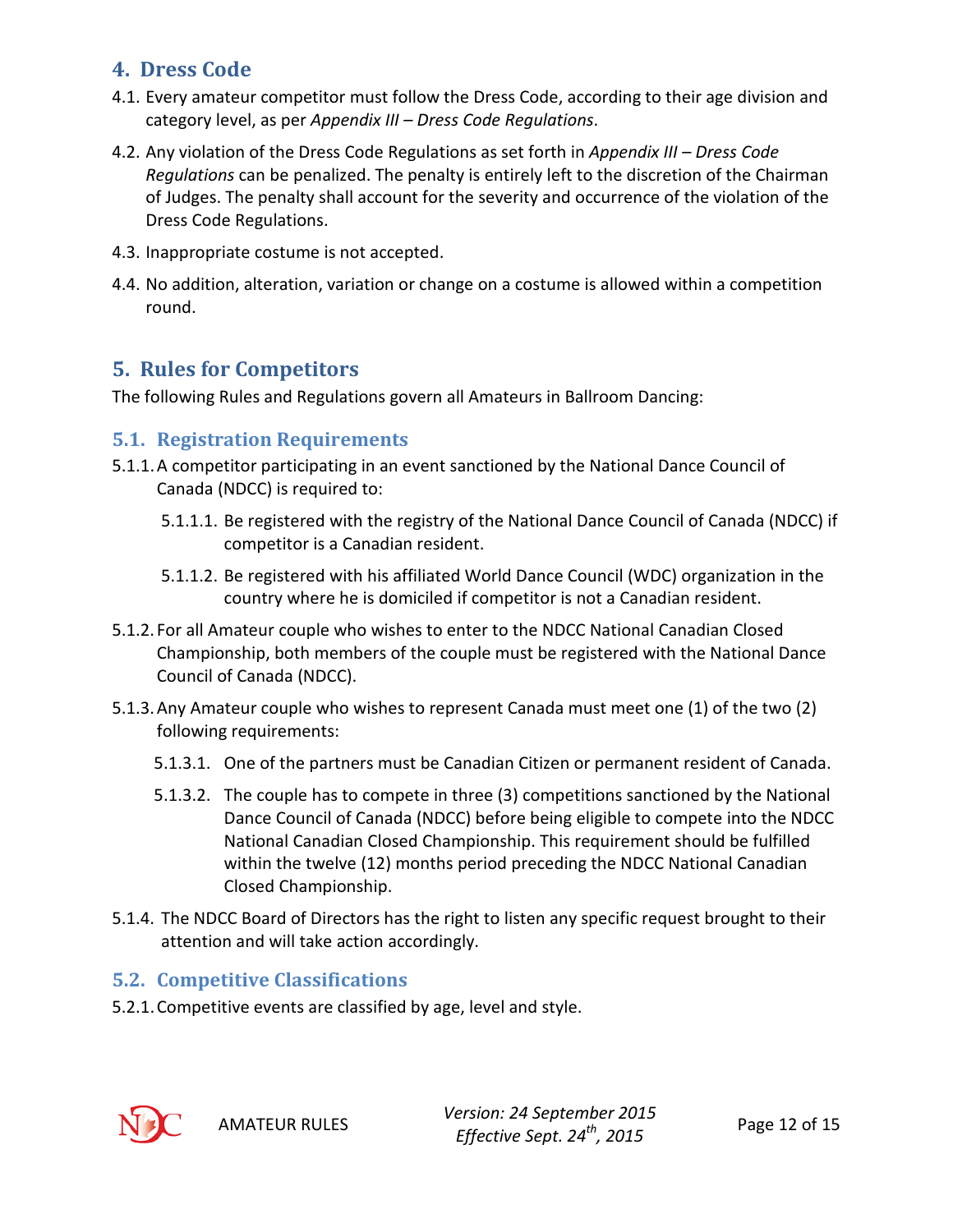## <span id="page-11-0"></span>**4. Dress Code**

- 4.1. Every amateur competitor must follow the Dress Code, according to their age division and category level, as per *Appendix III – Dress Code Regulations*.
- 4.2. Any violation of the Dress Code Regulations as set forth in *Appendix III – Dress Code Regulations* can be penalized. The penalty is entirely left to the discretion of the Chairman of Judges. The penalty shall account for the severity and occurrence of the violation of the Dress Code Regulations.
- 4.3. Inappropriate costume is not accepted.
- 4.4. No addition, alteration, variation or change on a costume is allowed within a competition round.

## <span id="page-11-1"></span>**5. Rules for Competitors**

The following Rules and Regulations govern all Amateurs in Ballroom Dancing:

#### <span id="page-11-2"></span>**5.1. Registration Requirements**

- 5.1.1.A competitor participating in an event sanctioned by the National Dance Council of Canada (NDCC) is required to:
	- 5.1.1.1. Be registered with the registry of the National Dance Council of Canada (NDCC) if competitor is a Canadian resident.
	- 5.1.1.2. Be registered with his affiliated World Dance Council (WDC) organization in the country where he is domiciled if competitor is not a Canadian resident.
- 5.1.2. For all Amateur couple who wishes to enter to the NDCC National Canadian Closed Championship, both members of the couple must be registered with the National Dance Council of Canada (NDCC).
- 5.1.3.Any Amateur couple who wishes to represent Canada must meet one (1) of the two (2) following requirements:
	- 5.1.3.1. One of the partners must be Canadian Citizen or permanent resident of Canada.
	- 5.1.3.2. The couple has to compete in three (3) competitions sanctioned by the National Dance Council of Canada (NDCC) before being eligible to compete into the NDCC National Canadian Closed Championship. This requirement should be fulfilled within the twelve (12) months period preceding the NDCC National Canadian Closed Championship.
- 5.1.4. The NDCC Board of Directors has the right to listen any specific request brought to their attention and will take action accordingly.

#### <span id="page-11-3"></span>**5.2. Competitive Classifications**

5.2.1.Competitive events are classified by age, level and style.



AMATEUR RULES *Version: 24 September 2015 Effective Sept. 24th, 2015* Page 12 of 15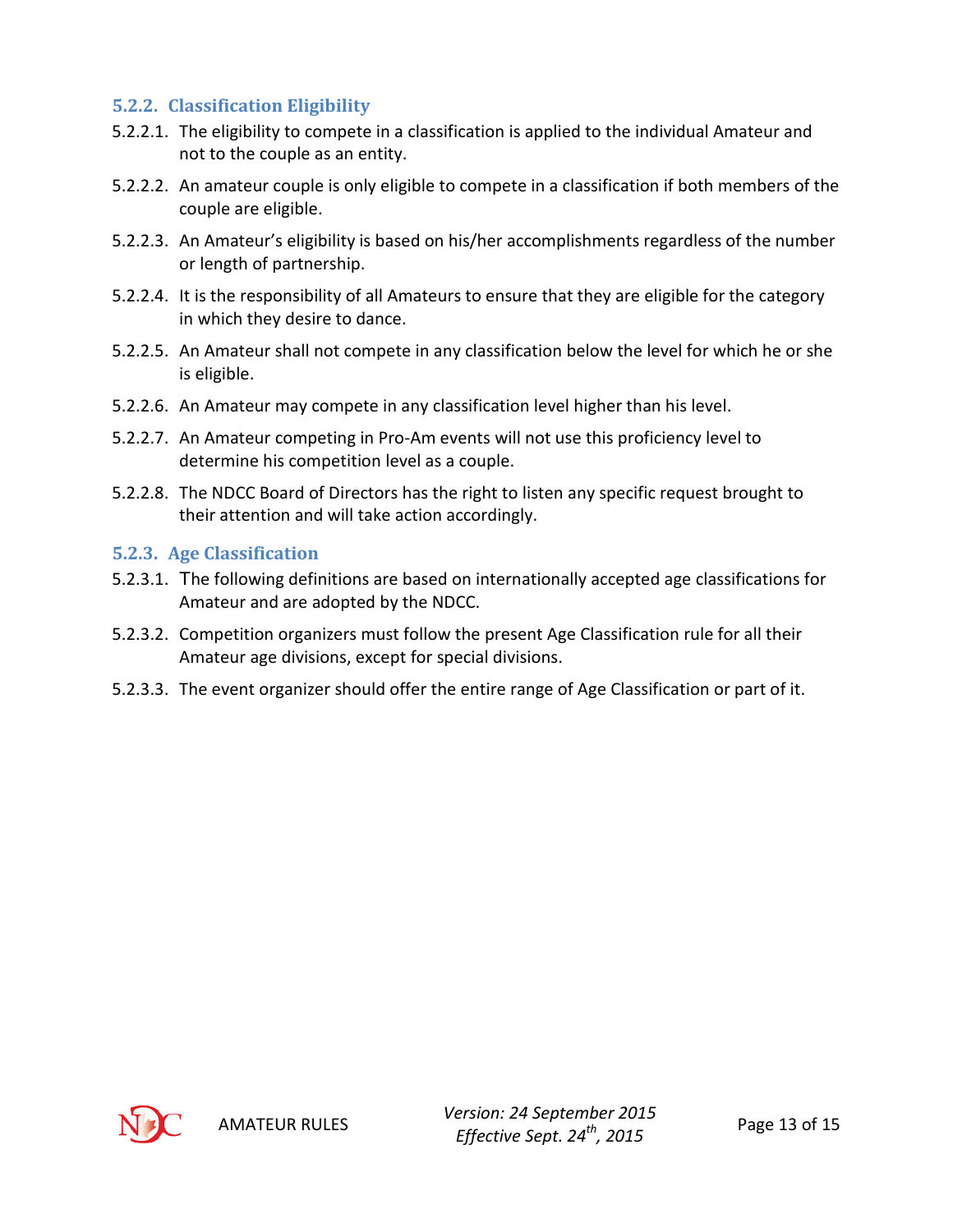#### <span id="page-12-0"></span>**5.2.2. Classification Eligibility**

- 5.2.2.1. The eligibility to compete in a classification is applied to the individual Amateur and not to the couple as an entity.
- 5.2.2.2. An amateur couple is only eligible to compete in a classification if both members of the couple are eligible.
- 5.2.2.3. An Amateur's eligibility is based on his/her accomplishments regardless of the number or length of partnership.
- 5.2.2.4. It is the responsibility of all Amateurs to ensure that they are eligible for the category in which they desire to dance.
- 5.2.2.5. An Amateur shall not compete in any classification below the level for which he or she is eligible.
- 5.2.2.6. An Amateur may compete in any classification level higher than his level.
- 5.2.2.7. An Amateur competing in Pro-Am events will not use this proficiency level to determine his competition level as a couple.
- 5.2.2.8. The NDCC Board of Directors has the right to listen any specific request brought to their attention and will take action accordingly.

#### <span id="page-12-1"></span>**5.2.3. Age Classification**

- 5.2.3.1. The following definitions are based on internationally accepted age classifications for Amateur and are adopted by the NDCC.
- 5.2.3.2. Competition organizers must follow the present Age Classification rule for all their Amateur age divisions, except for special divisions.
- 5.2.3.3. The event organizer should offer the entire range of Age Classification or part of it.

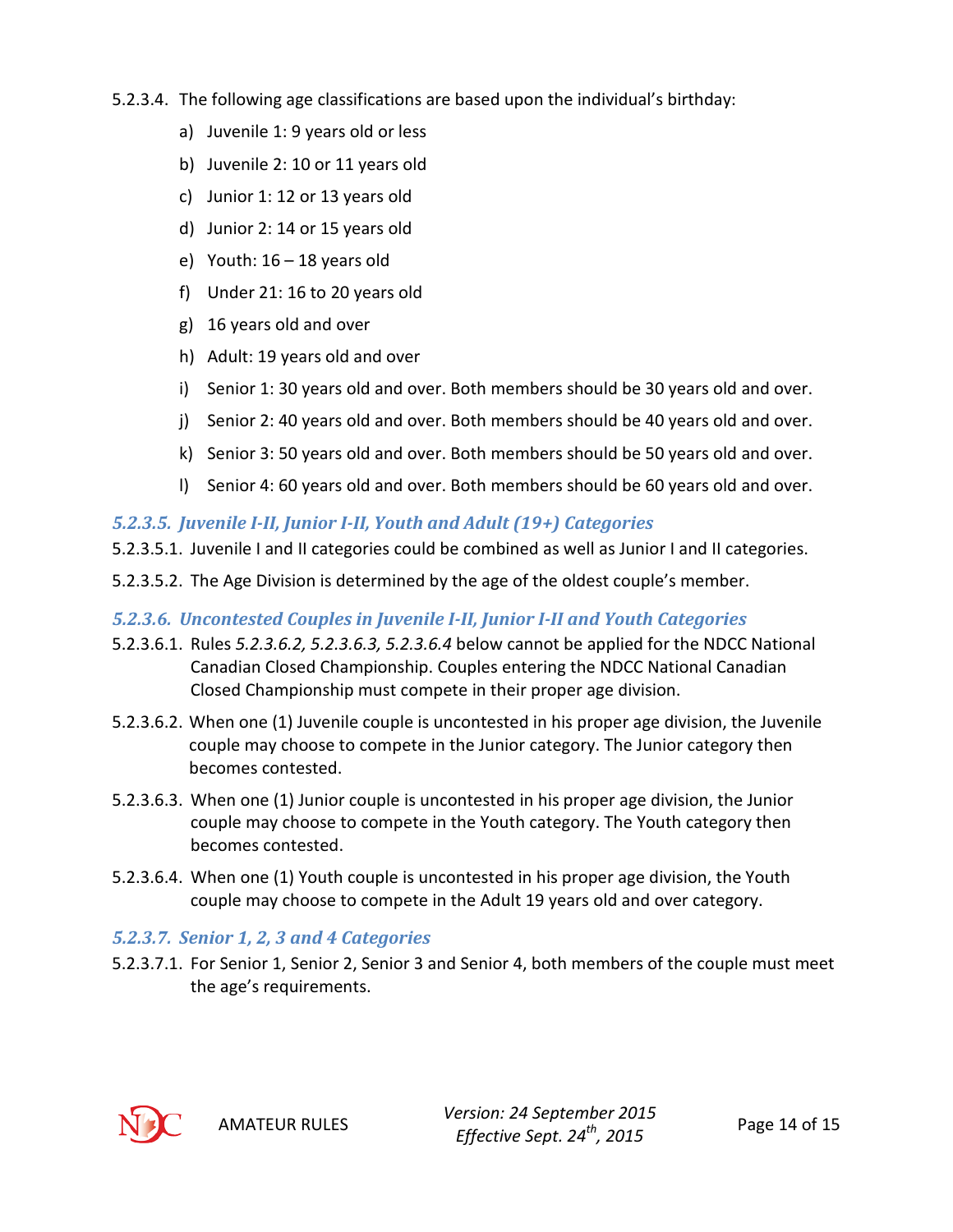- 5.2.3.4. The following age classifications are based upon the individual's birthday:
	- a) Juvenile 1: 9 years old or less
	- b) Juvenile 2: 10 or 11 years old
	- c) Junior 1: 12 or 13 years old
	- d) Junior 2: 14 or 15 years old
	- e) Youth:  $16 18$  years old
	- f) Under 21: 16 to 20 years old
	- g) 16 years old and over
	- h) Adult: 19 years old and over
	- i) Senior 1: 30 years old and over. Both members should be 30 years old and over.
	- j) Senior 2: 40 years old and over. Both members should be 40 years old and over.
	- k) Senior 3: 50 years old and over. Both members should be 50 years old and over.
	- l) Senior 4: 60 years old and over. Both members should be 60 years old and over.

#### <span id="page-13-0"></span>*5.2.3.5. Juvenile I-II, Junior I-II, Youth and Adult (19+) Categories*

- 5.2.3.5.1. Juvenile I and II categories could be combined as well as Junior I and II categories.
- 5.2.3.5.2. The Age Division is determined by the age of the oldest couple's member.

#### <span id="page-13-1"></span>*5.2.3.6. Uncontested Couples in Juvenile I-II, Junior I-II and Youth Categories*

- 5.2.3.6.1. Rules *[5.2.3.6.2,](#page-13-3) [5.2.3.6.3,](#page-13-4) [5.2.3.6.4](#page-13-5)* below cannot be applied for the NDCC National Canadian Closed Championship. Couples entering the NDCC National Canadian Closed Championship must compete in their proper age division.
- <span id="page-13-3"></span>5.2.3.6.2. When one (1) Juvenile couple is uncontested in his proper age division, the Juvenile couple may choose to compete in the Junior category. The Junior category then becomes contested.
- <span id="page-13-4"></span>5.2.3.6.3. When one (1) Junior couple is uncontested in his proper age division, the Junior couple may choose to compete in the Youth category. The Youth category then becomes contested.
- <span id="page-13-5"></span>5.2.3.6.4. When one (1) Youth couple is uncontested in his proper age division, the Youth couple may choose to compete in the Adult 19 years old and over category.

## <span id="page-13-2"></span>*5.2.3.7. Senior 1, 2, 3 and 4 Categories*

5.2.3.7.1. For Senior 1, Senior 2, Senior 3 and Senior 4, both members of the couple must meet the age's requirements.